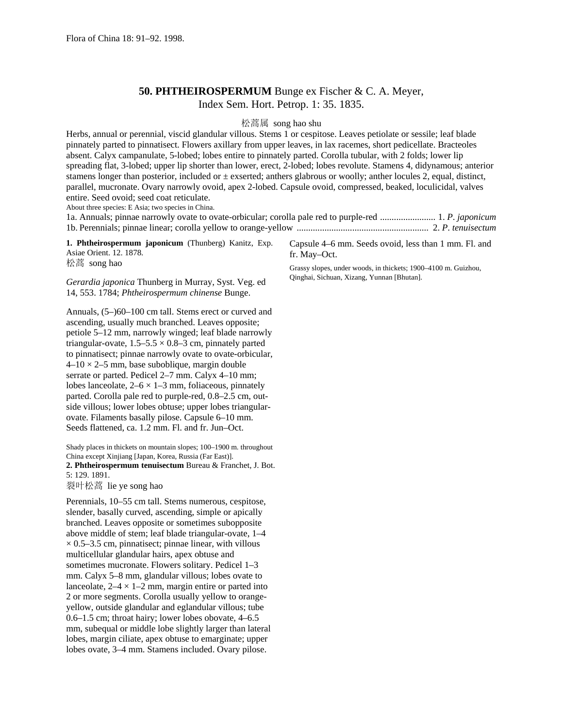## **50. PHTHEIROSPERMUM** Bunge ex Fischer & C. A. Meyer, Index Sem. Hort. Petrop. 1: 35. 1835.

松蒿属 song hao shu

Herbs, annual or perennial, viscid glandular villous. Stems 1 or cespitose. Leaves petiolate or sessile; leaf blade pinnately parted to pinnatisect. Flowers axillary from upper leaves, in lax racemes, short pedicellate. Bracteoles absent. Calyx campanulate, 5-lobed; lobes entire to pinnately parted. Corolla tubular, with 2 folds; lower lip spreading flat, 3-lobed; upper lip shorter than lower, erect, 2-lobed; lobes revolute. Stamens 4, didynamous; anterior stamens longer than posterior, included or  $\pm$  exserted; anthers glabrous or woolly; anther locules 2, equal, distinct, parallel, mucronate. Ovary narrowly ovoid, apex 2-lobed. Capsule ovoid, compressed, beaked, loculicidal, valves entire. Seed ovoid; seed coat reticulate. About three species: E Asia; two species in China.

1a. Annuals; pinnae narrowly ovate to ovate-orbicular; corolla pale red to purple-red ........................ 1. *P*. *japonicum* 1b. Perennials; pinnae linear; corolla yellow to orange-yellow ......................................................... 2. *P*. *tenuisectum*

**1. Phtheirospermum japonicum** (Thunberg) Kanitz, Exp. Asiae Orient. 12. 1878. 松蒿 song hao

*Gerardia japonica* Thunberg in Murray, Syst. Veg. ed 14, 553. 1784; *Phtheirospermum chinense* Bunge.

Annuals, (5–)60–100 cm tall. Stems erect or curved and ascending, usually much branched. Leaves opposite; petiole 5–12 mm, narrowly winged; leaf blade narrowly triangular-ovate,  $1.5-5.5 \times 0.8-3$  cm, pinnately parted to pinnatisect; pinnae narrowly ovate to ovate-orbicular,  $4-10 \times 2-5$  mm, base suboblique, margin double serrate or parted. Pedicel 2–7 mm. Calyx 4–10 mm; lobes lanceolate,  $2-6 \times 1-3$  mm, foliaceous, pinnately parted. Corolla pale red to purple-red, 0.8–2.5 cm, outside villous; lower lobes obtuse; upper lobes triangularovate. Filaments basally pilose. Capsule 6–10 mm. Seeds flattened, ca. 1.2 mm. Fl. and fr. Jun–Oct.

Shady places in thickets on mountain slopes; 100–1900 m. throughout China except Xinjiang [Japan, Korea, Russia (Far East)]. **2. Phtheirospermum tenuisectum** Bureau & Franchet, J. Bot. 5: 129. 1891.

裂叶松蒿 lie ye song hao

Perennials, 10–55 cm tall. Stems numerous, cespitose, slender, basally curved, ascending, simple or apically branched. Leaves opposite or sometimes subopposite above middle of stem; leaf blade triangular-ovate, 1–4  $\times$  0.5–3.5 cm, pinnatisect; pinnae linear, with villous multicellular glandular hairs, apex obtuse and sometimes mucronate. Flowers solitary. Pedicel 1–3 mm. Calyx 5–8 mm, glandular villous; lobes ovate to lanceolate,  $2-4 \times 1-2$  mm, margin entire or parted into 2 or more segments. Corolla usually yellow to orangeyellow, outside glandular and eglandular villous; tube 0.6–1.5 cm; throat hairy; lower lobes obovate, 4–6.5 mm, subequal or middle lobe slightly larger than lateral lobes, margin ciliate, apex obtuse to emarginate; upper lobes ovate, 3–4 mm. Stamens included. Ovary pilose.

Capsule 4–6 mm. Seeds ovoid, less than 1 mm. Fl. and fr. May–Oct.

Grassy slopes, under woods, in thickets; 1900–4100 m. Guizhou, Qinghai, Sichuan, Xizang, Yunnan [Bhutan].